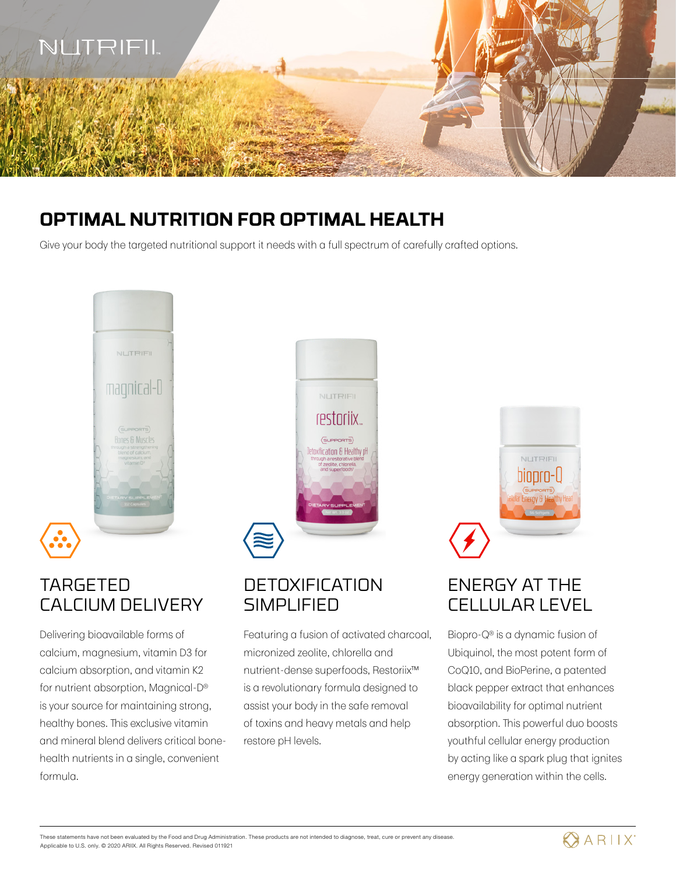

# **OPTIMAL NUTRITION FOR OPTIMAL HEALTH**

Give your body the targeted nutritional support it needs with a full spectrum of carefully crafted options.



# TARGETED CALCIUM DELIVERY

Delivering bioavailable forms of calcium, magnesium, vitamin D3 for calcium absorption, and vitamin K2 for nutrient absorption, Magnical-D® is your source for maintaining strong, healthy bones. This exclusive vitamin and mineral blend delivers critical bonehealth nutrients in a single, convenient formula.



# **DETOXIFICATION SIMPLIFIED**

Featuring a fusion of activated charcoal, micronized zeolite, chlorella and nutrient-dense superfoods, Restoriix™ is a revolutionary formula designed to assist your body in the safe removal of toxins and heavy metals and help restore pH levels.



# ENERGY AT THE CELLULAR LEVEL

Biopro-Q® is a dynamic fusion of Ubiquinol, the most potent form of CoQ10, and BioPerine, a patented black pepper extract that enhances bioavailability for optimal nutrient absorption. This powerful duo boosts youthful cellular energy production by acting like a spark plug that ignites energy generation within the cells.

These statements have not been evaluated by the Food and Drug Administration. These products are not intended to diagnose, treat, cure or prevent any disease. Applicable to U.S. only. © 2020 ARIIX. All Rights Reserved. Revised 011921